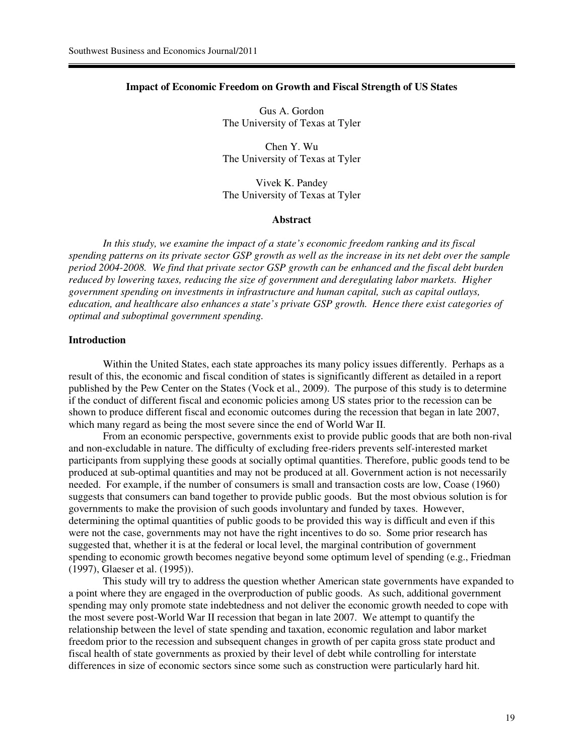## **Impact of Economic Freedom on Growth and Fiscal Strength of US States**

Gus A. Gordon The University of Texas at Tyler

Chen Y. Wu The University of Texas at Tyler

Vivek K. Pandey The University of Texas at Tyler

## **Abstract**

*In this study, we examine the impact of a state's economic freedom ranking and its fiscal spending patterns on its private sector GSP growth as well as the increase in its net debt over the sample period 2004-2008. We find that private sector GSP growth can be enhanced and the fiscal debt burden reduced by lowering taxes, reducing the size of government and deregulating labor markets. Higher government spending on investments in infrastructure and human capital, such as capital outlays, education, and healthcare also enhances a state's private GSP growth. Hence there exist categories of optimal and suboptimal government spending.* 

## **Introduction**

Within the United States, each state approaches its many policy issues differently. Perhaps as a result of this, the economic and fiscal condition of states is significantly different as detailed in a report published by the Pew Center on the States (Vock et al., 2009). The purpose of this study is to determine if the conduct of different fiscal and economic policies among US states prior to the recession can be shown to produce different fiscal and economic outcomes during the recession that began in late 2007, which many regard as being the most severe since the end of World War II.

 From an economic perspective, governments exist to provide public goods that are both non-rival and non-excludable in nature. The difficulty of excluding free-riders prevents self-interested market participants from supplying these goods at socially optimal quantities. Therefore, public goods tend to be produced at sub-optimal quantities and may not be produced at all. Government action is not necessarily needed. For example, if the number of consumers is small and transaction costs are low, Coase (1960) suggests that consumers can band together to provide public goods. But the most obvious solution is for governments to make the provision of such goods involuntary and funded by taxes. However, determining the optimal quantities of public goods to be provided this way is difficult and even if this were not the case, governments may not have the right incentives to do so. Some prior research has suggested that, whether it is at the federal or local level, the marginal contribution of government spending to economic growth becomes negative beyond some optimum level of spending (e.g., Friedman (1997), Glaeser et al. (1995)).

 This study will try to address the question whether American state governments have expanded to a point where they are engaged in the overproduction of public goods. As such, additional government spending may only promote state indebtedness and not deliver the economic growth needed to cope with the most severe post-World War II recession that began in late 2007. We attempt to quantify the relationship between the level of state spending and taxation, economic regulation and labor market freedom prior to the recession and subsequent changes in growth of per capita gross state product and fiscal health of state governments as proxied by their level of debt while controlling for interstate differences in size of economic sectors since some such as construction were particularly hard hit.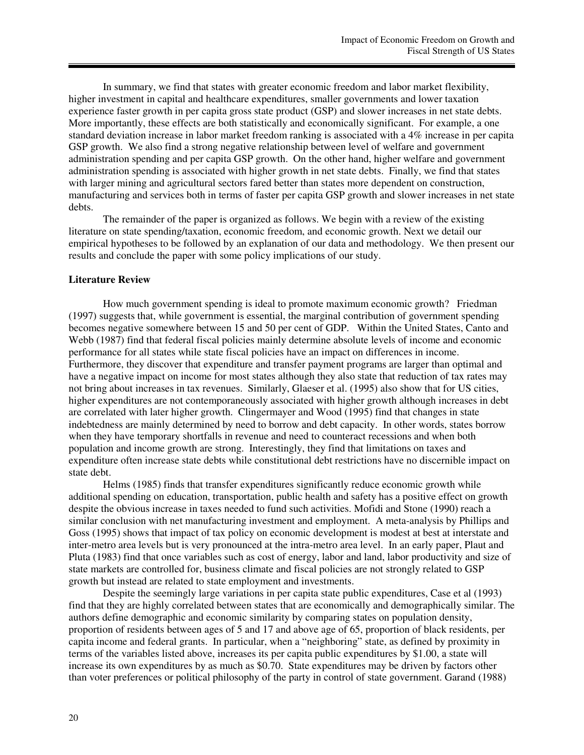In summary, we find that states with greater economic freedom and labor market flexibility, higher investment in capital and healthcare expenditures, smaller governments and lower taxation experience faster growth in per capita gross state product (GSP) and slower increases in net state debts. More importantly, these effects are both statistically and economically significant. For example, a one standard deviation increase in labor market freedom ranking is associated with a 4% increase in per capita GSP growth. We also find a strong negative relationship between level of welfare and government administration spending and per capita GSP growth. On the other hand, higher welfare and government administration spending is associated with higher growth in net state debts. Finally, we find that states with larger mining and agricultural sectors fared better than states more dependent on construction, manufacturing and services both in terms of faster per capita GSP growth and slower increases in net state debts.

 The remainder of the paper is organized as follows. We begin with a review of the existing literature on state spending/taxation, economic freedom, and economic growth. Next we detail our empirical hypotheses to be followed by an explanation of our data and methodology. We then present our results and conclude the paper with some policy implications of our study.

#### **Literature Review**

How much government spending is ideal to promote maximum economic growth? Friedman (1997) suggests that, while government is essential, the marginal contribution of government spending becomes negative somewhere between 15 and 50 per cent of GDP. Within the United States, Canto and Webb (1987) find that federal fiscal policies mainly determine absolute levels of income and economic performance for all states while state fiscal policies have an impact on differences in income. Furthermore, they discover that expenditure and transfer payment programs are larger than optimal and have a negative impact on income for most states although they also state that reduction of tax rates may not bring about increases in tax revenues. Similarly, Glaeser et al. (1995) also show that for US cities, higher expenditures are not contemporaneously associated with higher growth although increases in debt are correlated with later higher growth. Clingermayer and Wood (1995) find that changes in state indebtedness are mainly determined by need to borrow and debt capacity. In other words, states borrow when they have temporary shortfalls in revenue and need to counteract recessions and when both population and income growth are strong. Interestingly, they find that limitations on taxes and expenditure often increase state debts while constitutional debt restrictions have no discernible impact on state debt.

Helms (1985) finds that transfer expenditures significantly reduce economic growth while additional spending on education, transportation, public health and safety has a positive effect on growth despite the obvious increase in taxes needed to fund such activities. Mofidi and Stone (1990) reach a similar conclusion with net manufacturing investment and employment. A meta-analysis by Phillips and Goss (1995) shows that impact of tax policy on economic development is modest at best at interstate and inter-metro area levels but is very pronounced at the intra-metro area level. In an early paper, Plaut and Pluta (1983) find that once variables such as cost of energy, labor and land, labor productivity and size of state markets are controlled for, business climate and fiscal policies are not strongly related to GSP growth but instead are related to state employment and investments.

Despite the seemingly large variations in per capita state public expenditures, Case et al (1993) find that they are highly correlated between states that are economically and demographically similar. The authors define demographic and economic similarity by comparing states on population density, proportion of residents between ages of 5 and 17 and above age of 65, proportion of black residents, per capita income and federal grants. In particular, when a "neighboring" state, as defined by proximity in terms of the variables listed above, increases its per capita public expenditures by \$1.00, a state will increase its own expenditures by as much as \$0.70. State expenditures may be driven by factors other than voter preferences or political philosophy of the party in control of state government. Garand (1988)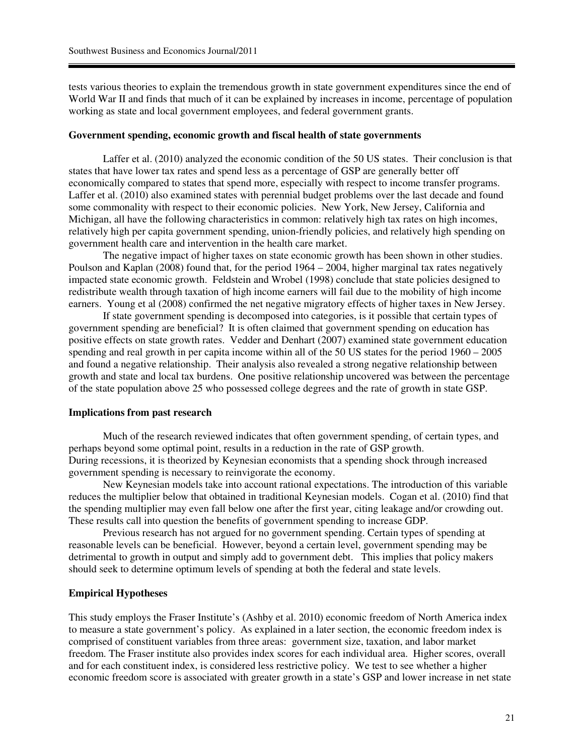tests various theories to explain the tremendous growth in state government expenditures since the end of World War II and finds that much of it can be explained by increases in income, percentage of population working as state and local government employees, and federal government grants.

#### **Government spending, economic growth and fiscal health of state governments**

Laffer et al. (2010) analyzed the economic condition of the 50 US states. Their conclusion is that states that have lower tax rates and spend less as a percentage of GSP are generally better off economically compared to states that spend more, especially with respect to income transfer programs. Laffer et al. (2010) also examined states with perennial budget problems over the last decade and found some commonality with respect to their economic policies. New York, New Jersey, California and Michigan, all have the following characteristics in common: relatively high tax rates on high incomes, relatively high per capita government spending, union-friendly policies, and relatively high spending on government health care and intervention in the health care market.

The negative impact of higher taxes on state economic growth has been shown in other studies. Poulson and Kaplan (2008) found that, for the period 1964 – 2004, higher marginal tax rates negatively impacted state economic growth. Feldstein and Wrobel (1998) conclude that state policies designed to redistribute wealth through taxation of high income earners will fail due to the mobility of high income earners. Young et al (2008) confirmed the net negative migratory effects of higher taxes in New Jersey.

 If state government spending is decomposed into categories, is it possible that certain types of government spending are beneficial? It is often claimed that government spending on education has positive effects on state growth rates. Vedder and Denhart (2007) examined state government education spending and real growth in per capita income within all of the 50 US states for the period 1960 – 2005 and found a negative relationship. Their analysis also revealed a strong negative relationship between growth and state and local tax burdens. One positive relationship uncovered was between the percentage of the state population above 25 who possessed college degrees and the rate of growth in state GSP.

#### **Implications from past research**

 Much of the research reviewed indicates that often government spending, of certain types, and perhaps beyond some optimal point, results in a reduction in the rate of GSP growth. During recessions, it is theorized by Keynesian economists that a spending shock through increased government spending is necessary to reinvigorate the economy.

 New Keynesian models take into account rational expectations. The introduction of this variable reduces the multiplier below that obtained in traditional Keynesian models. Cogan et al. (2010) find that the spending multiplier may even fall below one after the first year, citing leakage and/or crowding out. These results call into question the benefits of government spending to increase GDP.

 Previous research has not argued for no government spending. Certain types of spending at reasonable levels can be beneficial. However, beyond a certain level, government spending may be detrimental to growth in output and simply add to government debt. This implies that policy makers should seek to determine optimum levels of spending at both the federal and state levels.

#### **Empirical Hypotheses**

This study employs the Fraser Institute's (Ashby et al. 2010) economic freedom of North America index to measure a state government's policy. As explained in a later section, the economic freedom index is comprised of constituent variables from three areas: government size, taxation, and labor market freedom. The Fraser institute also provides index scores for each individual area. Higher scores, overall and for each constituent index, is considered less restrictive policy. We test to see whether a higher economic freedom score is associated with greater growth in a state's GSP and lower increase in net state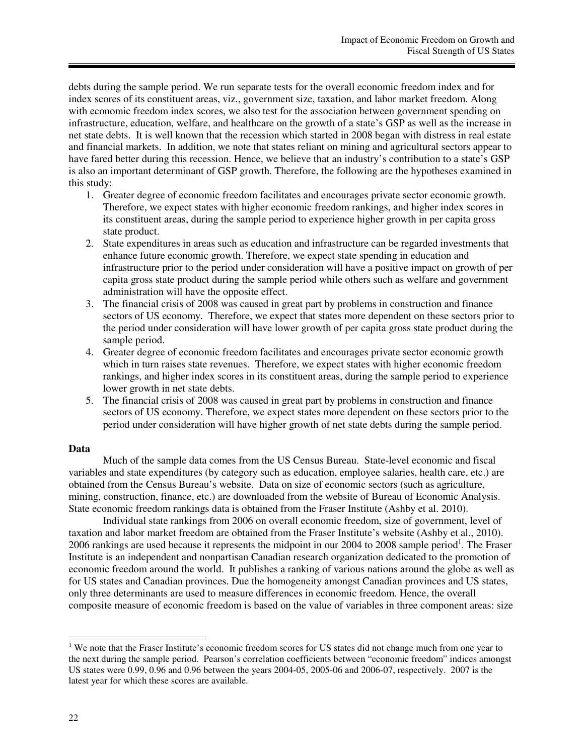debts during the sample period. We run separate tests for the overall economic freedom index and for index scores of its constituent areas, viz., government size, taxation, and labor market freedom. Along with economic freedom index scores, we also test for the association between government spending on infrastructure, education, welfare, and healthcare on the growth of a state's GSP as well as the increase in net state debts. It is well known that the recession which started in 2008 began with distress in real estate and financial markets. In addition, we note that states reliant on mining and agricultural sectors appear to have fared better during this recession. Hence, we believe that an industry's contribution to a state's GSP is also an important determinant of GSP growth. Therefore, the following are the hypotheses examined in this study:

- 1. Greater degree of economic freedom facilitates and encourages private sector economic growth. Therefore, we expect states with higher economic freedom rankings, and higher index scores in its constituent areas, during the sample period to experience higher growth in per capita gross state product.
- 2. State expenditures in areas such as education and infrastructure can be regarded investments that enhance future economic growth. Therefore, we expect state spending in education and infrastructure prior to the period under consideration will have a positive impact on growth of per capita gross state product during the sample period while others such as welfare and government administration will have the opposite effect.
- 3. The financial crisis of 2008 was caused in great part by problems in construction and finance sectors of US economy. Therefore, we expect that states more dependent on these sectors prior to the period under consideration will have lower growth of per capita gross state product during the sample period.
- 4. Greater degree of economic freedom facilitates and encourages private sector economic growth which in turn raises state revenues. Therefore, we expect states with higher economic freedom rankings, and higher index scores in its constituent areas, during the sample period to experience lower growth in net state debts.
- 5. The financial crisis of 2008 was caused in great part by problems in construction and finance sectors of US economy. Therefore, we expect states more dependent on these sectors prior to the period under consideration will have higher growth of net state debts during the sample period.

#### **Data**

Much of the sample data comes from the US Census Bureau. State-level economic and fiscal variables and state expenditures (by category such as education, employee salaries, health care, etc.) are obtained from the Census Bureau's website. Data on size of economic sectors (such as agriculture, mining, construction, finance, etc.) are downloaded from the website of Bureau of Economic Analysis. State economic freedom rankings data is obtained from the Fraser Institute (Ashby et al. 2010).

Individual state rankings from 2006 on overall economic freedom, size of government, level of taxation and labor market freedom are obtained from the Fraser Institute's website (Ashby et al., 2010). 2006 rankings are used because it represents the midpoint in our 2004 to 2008 sample period<sup>1</sup>. The Fraser Institute is an independent and nonpartisan Canadian research organization dedicated to the promotion of economic freedom around the world. It publishes a ranking of various nations around the globe as well as for US states and Canadian provinces. Due the homogeneity amongst Canadian provinces and US states, only three determinants are used to measure differences in economic freedom. Hence, the overall composite measure of economic freedom is based on the value of variables in three component areas: size

 $\overline{a}$ 

<sup>&</sup>lt;sup>1</sup> We note that the Fraser Institute's economic freedom scores for US states did not change much from one year to the next during the sample period. Pearson's correlation coefficients between "economic freedom" indices amongst US states were 0.99, 0.96 and 0.96 between the years 2004-05, 2005-06 and 2006-07, respectively. 2007 is the latest year for which these scores are available.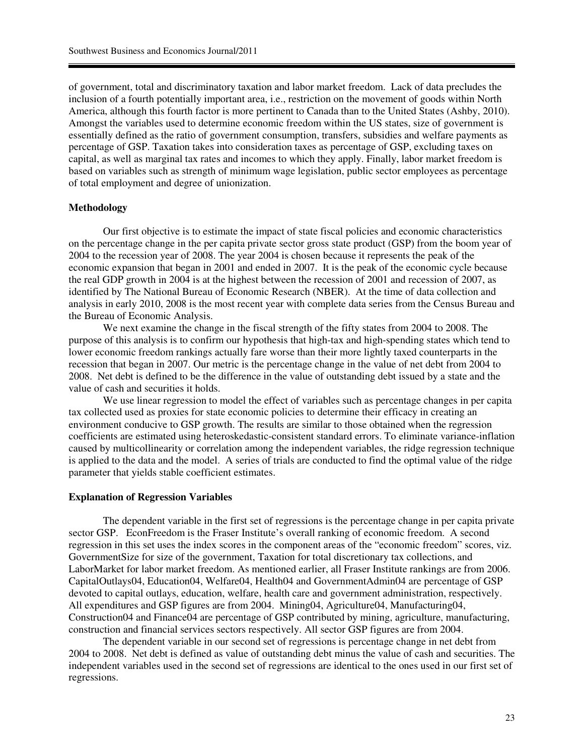of government, total and discriminatory taxation and labor market freedom. Lack of data precludes the inclusion of a fourth potentially important area, i.e., restriction on the movement of goods within North America, although this fourth factor is more pertinent to Canada than to the United States (Ashby, 2010). Amongst the variables used to determine economic freedom within the US states, size of government is essentially defined as the ratio of government consumption, transfers, subsidies and welfare payments as percentage of GSP. Taxation takes into consideration taxes as percentage of GSP, excluding taxes on capital, as well as marginal tax rates and incomes to which they apply. Finally, labor market freedom is based on variables such as strength of minimum wage legislation, public sector employees as percentage of total employment and degree of unionization.

#### **Methodology**

Our first objective is to estimate the impact of state fiscal policies and economic characteristics on the percentage change in the per capita private sector gross state product (GSP) from the boom year of 2004 to the recession year of 2008. The year 2004 is chosen because it represents the peak of the economic expansion that began in 2001 and ended in 2007. It is the peak of the economic cycle because the real GDP growth in 2004 is at the highest between the recession of 2001 and recession of 2007, as identified by The National Bureau of Economic Research (NBER). At the time of data collection and analysis in early 2010, 2008 is the most recent year with complete data series from the Census Bureau and the Bureau of Economic Analysis.

 We next examine the change in the fiscal strength of the fifty states from 2004 to 2008. The purpose of this analysis is to confirm our hypothesis that high-tax and high-spending states which tend to lower economic freedom rankings actually fare worse than their more lightly taxed counterparts in the recession that began in 2007. Our metric is the percentage change in the value of net debt from 2004 to 2008. Net debt is defined to be the difference in the value of outstanding debt issued by a state and the value of cash and securities it holds.

We use linear regression to model the effect of variables such as percentage changes in per capita tax collected used as proxies for state economic policies to determine their efficacy in creating an environment conducive to GSP growth. The results are similar to those obtained when the regression coefficients are estimated using heteroskedastic-consistent standard errors. To eliminate variance-inflation caused by multicollinearity or correlation among the independent variables, the ridge regression technique is applied to the data and the model. A series of trials are conducted to find the optimal value of the ridge parameter that yields stable coefficient estimates.

#### **Explanation of Regression Variables**

The dependent variable in the first set of regressions is the percentage change in per capita private sector GSP. EconFreedom is the Fraser Institute's overall ranking of economic freedom. A second regression in this set uses the index scores in the component areas of the "economic freedom" scores, viz. GovernmentSize for size of the government, Taxation for total discretionary tax collections, and LaborMarket for labor market freedom. As mentioned earlier, all Fraser Institute rankings are from 2006. CapitalOutlays04, Education04, Welfare04, Health04 and GovernmentAdmin04 are percentage of GSP devoted to capital outlays, education, welfare, health care and government administration, respectively. All expenditures and GSP figures are from 2004. Mining04, Agriculture04, Manufacturing04, Construction04 and Finance04 are percentage of GSP contributed by mining, agriculture, manufacturing, construction and financial services sectors respectively. All sector GSP figures are from 2004.

The dependent variable in our second set of regressions is percentage change in net debt from 2004 to 2008. Net debt is defined as value of outstanding debt minus the value of cash and securities. The independent variables used in the second set of regressions are identical to the ones used in our first set of regressions.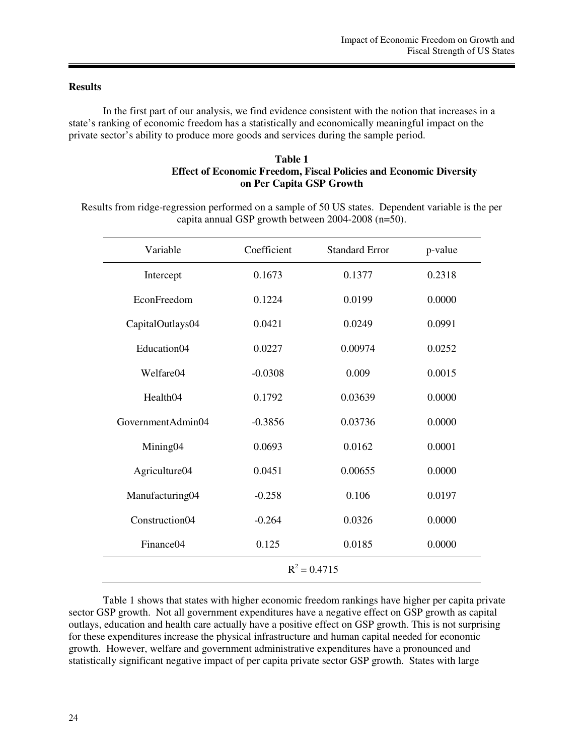# **Results**

In the first part of our analysis, we find evidence consistent with the notion that increases in a state's ranking of economic freedom has a statistically and economically meaningful impact on the private sector's ability to produce more goods and services during the sample period.

# **Table 1 Effect of Economic Freedom, Fiscal Policies and Economic Diversity on Per Capita GSP Growth**

Results from ridge-regression performed on a sample of 50 US states. Dependent variable is the per capita annual GSP growth between 2004-2008 (n=50).

| Variable                | Coefficient | <b>Standard Error</b> | p-value |
|-------------------------|-------------|-----------------------|---------|
| Intercept               | 0.1673      | 0.1377                | 0.2318  |
| EconFreedom             | 0.1224      | 0.0199                | 0.0000  |
| CapitalOutlays04        | 0.0421      | 0.0249                | 0.0991  |
| Education <sub>04</sub> | 0.0227      | 0.00974               | 0.0252  |
| Welfare04               | $-0.0308$   | 0.009                 | 0.0015  |
| Health04                | 0.1792      | 0.03639               | 0.0000  |
| GovernmentAdmin04       | $-0.3856$   | 0.03736               | 0.0000  |
| Mining04                | 0.0693      | 0.0162                | 0.0001  |
| Agriculture04           | 0.0451      | 0.00655               | 0.0000  |
| Manufacturing04         | $-0.258$    | 0.106                 | 0.0197  |
| Construction04          | $-0.264$    | 0.0326                | 0.0000  |
| Finance <sub>04</sub>   | 0.125       | 0.0185                | 0.0000  |
| $R^2 = 0.4715$          |             |                       |         |

Table 1 shows that states with higher economic freedom rankings have higher per capita private sector GSP growth. Not all government expenditures have a negative effect on GSP growth as capital outlays, education and health care actually have a positive effect on GSP growth. This is not surprising for these expenditures increase the physical infrastructure and human capital needed for economic growth. However, welfare and government administrative expenditures have a pronounced and statistically significant negative impact of per capita private sector GSP growth. States with large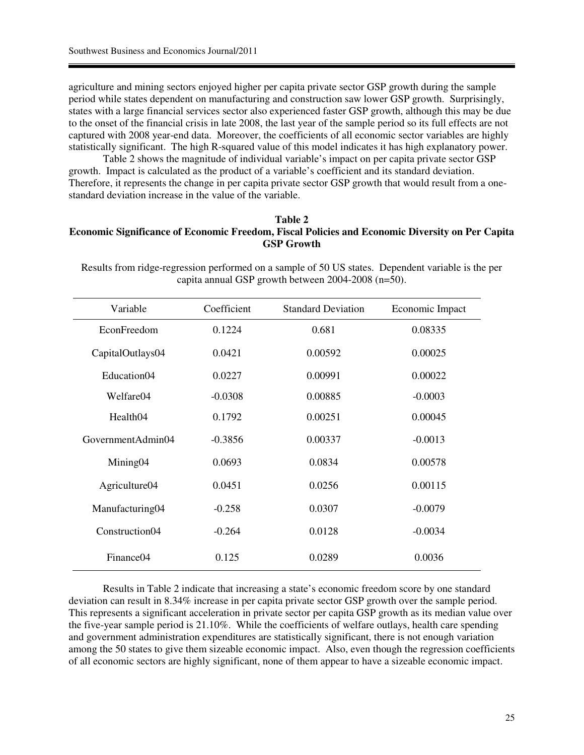agriculture and mining sectors enjoyed higher per capita private sector GSP growth during the sample period while states dependent on manufacturing and construction saw lower GSP growth. Surprisingly, states with a large financial services sector also experienced faster GSP growth, although this may be due to the onset of the financial crisis in late 2008, the last year of the sample period so its full effects are not captured with 2008 year-end data. Moreover, the coefficients of all economic sector variables are highly statistically significant. The high R-squared value of this model indicates it has high explanatory power.

Table 2 shows the magnitude of individual variable's impact on per capita private sector GSP growth. Impact is calculated as the product of a variable's coefficient and its standard deviation. Therefore, it represents the change in per capita private sector GSP growth that would result from a onestandard deviation increase in the value of the variable.

## **Table 2 Economic Significance of Economic Freedom, Fiscal Policies and Economic Diversity on Per Capita GSP Growth**

Results from ridge-regression performed on a sample of 50 US states. Dependent variable is the per capita annual GSP growth between 2004-2008 (n=50).

| Variable              | Coefficient | <b>Standard Deviation</b> | Economic Impact |
|-----------------------|-------------|---------------------------|-----------------|
| EconFreedom           | 0.1224      | 0.681                     | 0.08335         |
| CapitalOutlays04      | 0.0421      | 0.00592                   | 0.00025         |
| Education04           | 0.0227      | 0.00991                   | 0.00022         |
| Welfare04             | $-0.0308$   | 0.00885                   | $-0.0003$       |
| Health04              | 0.1792      | 0.00251                   | 0.00045         |
| GovernmentAdmin04     | $-0.3856$   | 0.00337                   | $-0.0013$       |
| Mining <sub>04</sub>  | 0.0693      | 0.0834                    | 0.00578         |
| Agriculture04         | 0.0451      | 0.0256                    | 0.00115         |
| Manufacturing04       | $-0.258$    | 0.0307                    | $-0.0079$       |
| Construction04        | $-0.264$    | 0.0128                    | $-0.0034$       |
| Finance <sub>04</sub> | 0.125       | 0.0289                    | 0.0036          |

 Results in Table 2 indicate that increasing a state's economic freedom score by one standard deviation can result in 8.34% increase in per capita private sector GSP growth over the sample period. This represents a significant acceleration in private sector per capita GSP growth as its median value over the five-year sample period is 21.10%. While the coefficients of welfare outlays, health care spending and government administration expenditures are statistically significant, there is not enough variation among the 50 states to give them sizeable economic impact. Also, even though the regression coefficients of all economic sectors are highly significant, none of them appear to have a sizeable economic impact.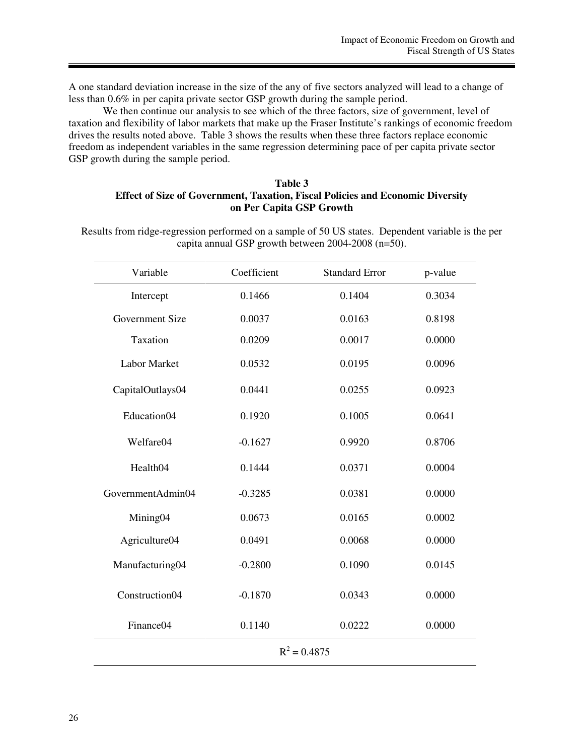A one standard deviation increase in the size of the any of five sectors analyzed will lead to a change of less than 0.6% in per capita private sector GSP growth during the sample period.

We then continue our analysis to see which of the three factors, size of government, level of taxation and flexibility of labor markets that make up the Fraser Institute's rankings of economic freedom drives the results noted above. Table 3 shows the results when these three factors replace economic freedom as independent variables in the same regression determining pace of per capita private sector GSP growth during the sample period.

# **Table 3 Effect of Size of Government, Taxation, Fiscal Policies and Economic Diversity on Per Capita GSP Growth**

Results from ridge-regression performed on a sample of 50 US states. Dependent variable is the per capita annual GSP growth between  $2004-2008$  (n=50).

| Variable              | Coefficient | <b>Standard Error</b> | p-value |
|-----------------------|-------------|-----------------------|---------|
| Intercept             | 0.1466      | 0.1404                | 0.3034  |
| Government Size       | 0.0037      | 0.0163                | 0.8198  |
| Taxation              | 0.0209      | 0.0017                | 0.0000  |
| Labor Market          | 0.0532      | 0.0195                | 0.0096  |
| CapitalOutlays04      | 0.0441      | 0.0255                | 0.0923  |
| Education04           | 0.1920      | 0.1005                | 0.0641  |
| Welfare04             | $-0.1627$   | 0.9920                | 0.8706  |
| Health04              | 0.1444      | 0.0371                | 0.0004  |
| GovernmentAdmin04     | $-0.3285$   | 0.0381                | 0.0000  |
| Mining04              | 0.0673      | 0.0165                | 0.0002  |
| Agriculture04         | 0.0491      | 0.0068                | 0.0000  |
| Manufacturing04       | $-0.2800$   | 0.1090                | 0.0145  |
| Construction04        | $-0.1870$   | 0.0343                | 0.0000  |
| Finance <sub>04</sub> | 0.1140      | 0.0222                | 0.0000  |
| $R^2 = 0.4875$        |             |                       |         |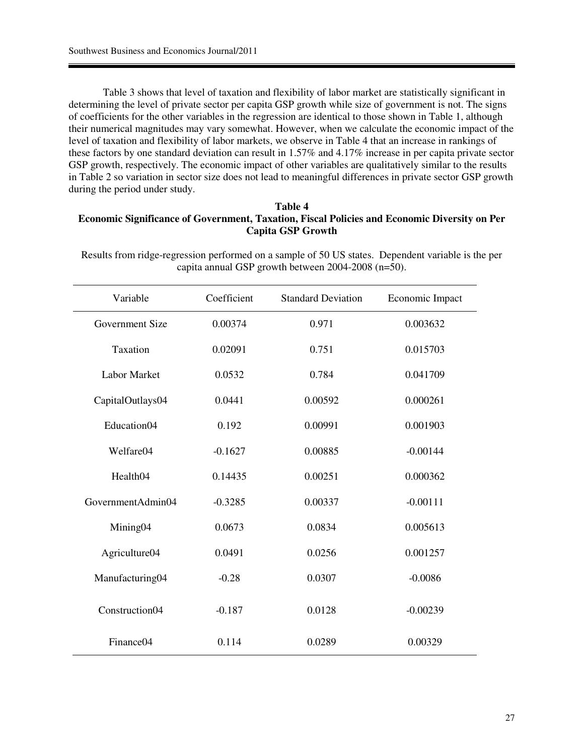Table 3 shows that level of taxation and flexibility of labor market are statistically significant in determining the level of private sector per capita GSP growth while size of government is not. The signs of coefficients for the other variables in the regression are identical to those shown in Table 1, although their numerical magnitudes may vary somewhat. However, when we calculate the economic impact of the level of taxation and flexibility of labor markets, we observe in Table 4 that an increase in rankings of these factors by one standard deviation can result in 1.57% and 4.17% increase in per capita private sector GSP growth, respectively. The economic impact of other variables are qualitatively similar to the results in Table 2 so variation in sector size does not lead to meaningful differences in private sector GSP growth during the period under study.

## **Table 4 Economic Significance of Government, Taxation, Fiscal Policies and Economic Diversity on Per Capita GSP Growth**

Results from ridge-regression performed on a sample of 50 US states. Dependent variable is the per capita annual GSP growth between 2004-2008 (n=50).

| Variable              | Coefficient | <b>Standard Deviation</b> | Economic Impact |
|-----------------------|-------------|---------------------------|-----------------|
| Government Size       | 0.00374     | 0.971                     | 0.003632        |
| Taxation              | 0.02091     | 0.751                     | 0.015703        |
| <b>Labor Market</b>   | 0.0532      | 0.784                     | 0.041709        |
| CapitalOutlays04      | 0.0441      | 0.00592                   | 0.000261        |
| Education04           | 0.192       | 0.00991                   | 0.001903        |
| Welfare04             | $-0.1627$   | 0.00885                   | $-0.00144$      |
| Health04              | 0.14435     | 0.00251                   | 0.000362        |
| GovernmentAdmin04     | $-0.3285$   | 0.00337                   | $-0.00111$      |
| Mining04              | 0.0673      | 0.0834                    | 0.005613        |
| Agriculture04         | 0.0491      | 0.0256                    | 0.001257        |
| Manufacturing04       | $-0.28$     | 0.0307                    | $-0.0086$       |
| Construction04        | $-0.187$    | 0.0128                    | $-0.00239$      |
| Finance <sub>04</sub> | 0.114       | 0.0289                    | 0.00329         |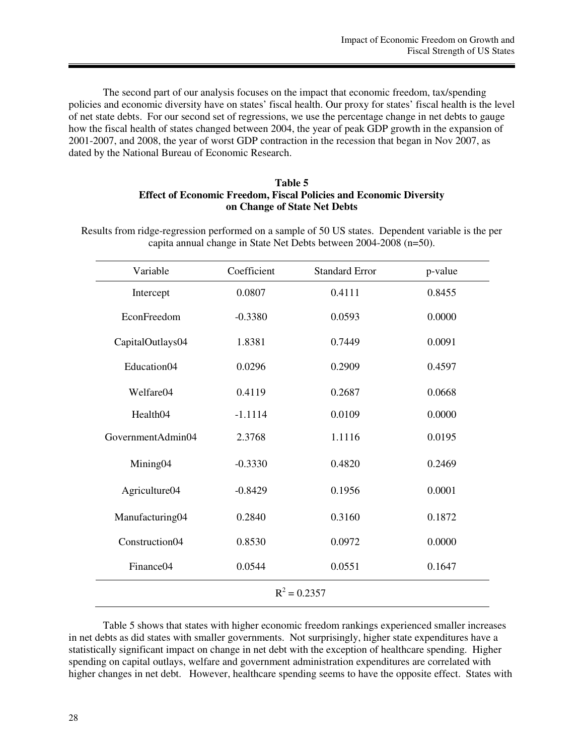The second part of our analysis focuses on the impact that economic freedom, tax/spending policies and economic diversity have on states' fiscal health. Our proxy for states' fiscal health is the level of net state debts. For our second set of regressions, we use the percentage change in net debts to gauge how the fiscal health of states changed between 2004, the year of peak GDP growth in the expansion of 2001-2007, and 2008, the year of worst GDP contraction in the recession that began in Nov 2007, as dated by the National Bureau of Economic Research.

# **Table 5 Effect of Economic Freedom, Fiscal Policies and Economic Diversity on Change of State Net Debts**

Results from ridge-regression performed on a sample of 50 US states. Dependent variable is the per capita annual change in State Net Debts between 2004-2008 (n=50).

| Variable          | Coefficient | <b>Standard Error</b> | p-value |
|-------------------|-------------|-----------------------|---------|
| Intercept         | 0.0807      | 0.4111                | 0.8455  |
| EconFreedom       | $-0.3380$   | 0.0593                | 0.0000  |
| CapitalOutlays04  | 1.8381      | 0.7449                | 0.0091  |
| Education04       | 0.0296      | 0.2909                | 0.4597  |
| Welfare04         | 0.4119      | 0.2687                | 0.0668  |
| Health04          | $-1.1114$   | 0.0109                | 0.0000  |
| GovernmentAdmin04 | 2.3768      | 1.1116                | 0.0195  |
| Mining04          | $-0.3330$   | 0.4820                | 0.2469  |
| Agriculture04     | $-0.8429$   | 0.1956                | 0.0001  |
| Manufacturing04   | 0.2840      | 0.3160                | 0.1872  |
| Construction04    | 0.8530      | 0.0972                | 0.0000  |
| Finance04         | 0.0544      | 0.0551                | 0.1647  |
| $R^2 = 0.2357$    |             |                       |         |

 Table 5 shows that states with higher economic freedom rankings experienced smaller increases in net debts as did states with smaller governments. Not surprisingly, higher state expenditures have a statistically significant impact on change in net debt with the exception of healthcare spending. Higher spending on capital outlays, welfare and government administration expenditures are correlated with higher changes in net debt. However, healthcare spending seems to have the opposite effect. States with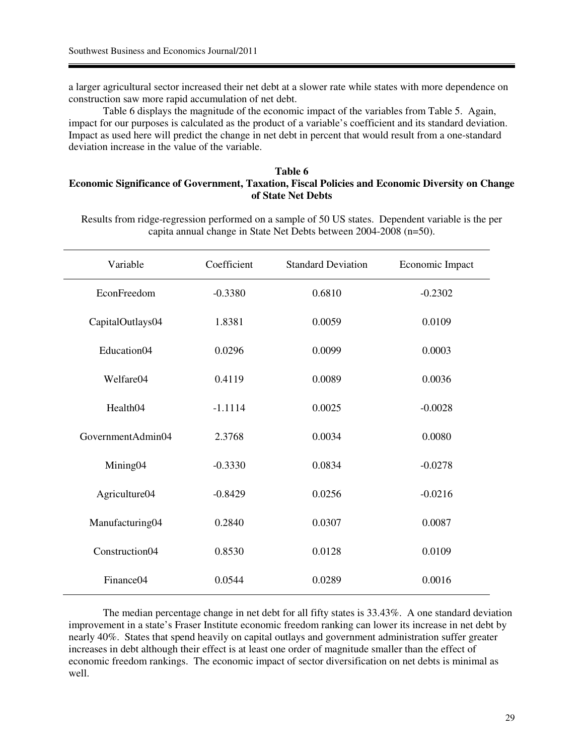a larger agricultural sector increased their net debt at a slower rate while states with more dependence on construction saw more rapid accumulation of net debt.

Table 6 displays the magnitude of the economic impact of the variables from Table 5. Again, impact for our purposes is calculated as the product of a variable's coefficient and its standard deviation. Impact as used here will predict the change in net debt in percent that would result from a one-standard deviation increase in the value of the variable.

#### **Table 6 Economic Significance of Government, Taxation, Fiscal Policies and Economic Diversity on Change of State Net Debts**

Results from ridge-regression performed on a sample of 50 US states. Dependent variable is the per capita annual change in State Net Debts between 2004-2008 (n=50).

| Variable              | Coefficient | <b>Standard Deviation</b> | Economic Impact |
|-----------------------|-------------|---------------------------|-----------------|
| EconFreedom           | $-0.3380$   | 0.6810                    | $-0.2302$       |
| CapitalOutlays04      | 1.8381      | 0.0059                    | 0.0109          |
| Education04           | 0.0296      | 0.0099                    | 0.0003          |
| Welfare04             | 0.4119      | 0.0089                    | 0.0036          |
| Health04              | $-1.1114$   | 0.0025                    | $-0.0028$       |
| GovernmentAdmin04     | 2.3768      | 0.0034                    | 0.0080          |
| Mining04              | $-0.3330$   | 0.0834                    | $-0.0278$       |
| Agriculture04         | $-0.8429$   | 0.0256                    | $-0.0216$       |
| Manufacturing04       | 0.2840      | 0.0307                    | 0.0087          |
| Construction04        | 0.8530      | 0.0128                    | 0.0109          |
| Finance <sub>04</sub> | 0.0544      | 0.0289                    | 0.0016          |

The median percentage change in net debt for all fifty states is 33.43%. A one standard deviation improvement in a state's Fraser Institute economic freedom ranking can lower its increase in net debt by nearly 40%. States that spend heavily on capital outlays and government administration suffer greater increases in debt although their effect is at least one order of magnitude smaller than the effect of economic freedom rankings. The economic impact of sector diversification on net debts is minimal as well.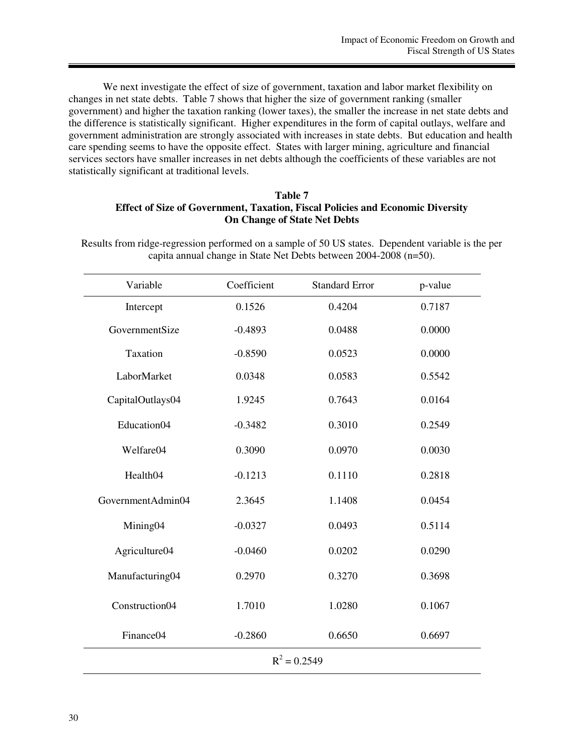We next investigate the effect of size of government, taxation and labor market flexibility on changes in net state debts. Table 7 shows that higher the size of government ranking (smaller government) and higher the taxation ranking (lower taxes), the smaller the increase in net state debts and the difference is statistically significant. Higher expenditures in the form of capital outlays, welfare and government administration are strongly associated with increases in state debts. But education and health care spending seems to have the opposite effect. States with larger mining, agriculture and financial services sectors have smaller increases in net debts although the coefficients of these variables are not statistically significant at traditional levels.

# **Table 7 Effect of Size of Government, Taxation, Fiscal Policies and Economic Diversity On Change of State Net Debts**

| Variable          | Coefficient | <b>Standard Error</b> | p-value |
|-------------------|-------------|-----------------------|---------|
| Intercept         | 0.1526      | 0.4204                | 0.7187  |
| GovernmentSize    | $-0.4893$   | 0.0488                | 0.0000  |
| Taxation          | $-0.8590$   | 0.0523                | 0.0000  |
| LaborMarket       | 0.0348      | 0.0583                | 0.5542  |
| CapitalOutlays04  | 1.9245      | 0.7643                | 0.0164  |
| Education04       | $-0.3482$   | 0.3010                | 0.2549  |
| Welfare04         | 0.3090      | 0.0970                | 0.0030  |
| Health04          | $-0.1213$   | 0.1110                | 0.2818  |
| GovernmentAdmin04 | 2.3645      | 1.1408                | 0.0454  |
| Mining04          | $-0.0327$   | 0.0493                | 0.5114  |
| Agriculture04     | $-0.0460$   | 0.0202                | 0.0290  |
| Manufacturing04   | 0.2970      | 0.3270                | 0.3698  |
| Construction04    | 1.7010      | 1.0280                | 0.1067  |
| Finance04         | $-0.2860$   | 0.6650                | 0.6697  |
| $R^2 = 0.2549$    |             |                       |         |

Results from ridge-regression performed on a sample of 50 US states. Dependent variable is the per capita annual change in State Net Debts between 2004-2008 (n=50).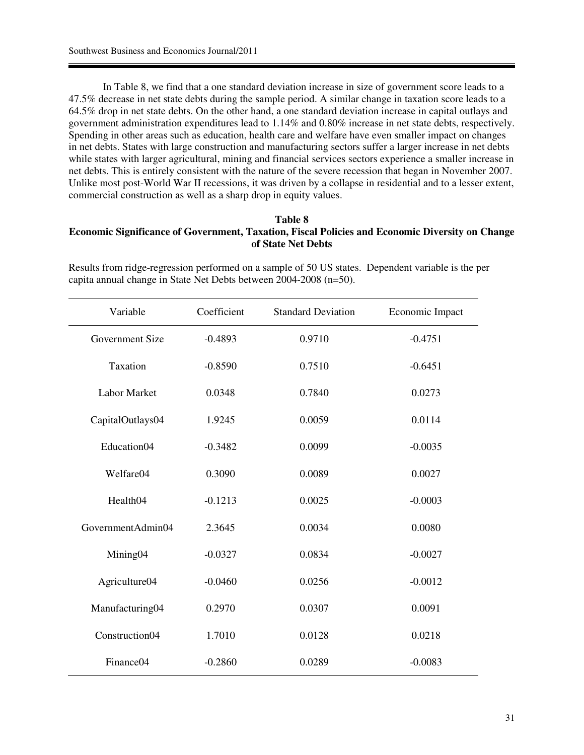In Table 8, we find that a one standard deviation increase in size of government score leads to a 47.5% decrease in net state debts during the sample period. A similar change in taxation score leads to a 64.5% drop in net state debts. On the other hand, a one standard deviation increase in capital outlays and government administration expenditures lead to 1.14% and 0.80% increase in net state debts, respectively. Spending in other areas such as education, health care and welfare have even smaller impact on changes in net debts. States with large construction and manufacturing sectors suffer a larger increase in net debts while states with larger agricultural, mining and financial services sectors experience a smaller increase in net debts. This is entirely consistent with the nature of the severe recession that began in November 2007. Unlike most post-World War II recessions, it was driven by a collapse in residential and to a lesser extent, commercial construction as well as a sharp drop in equity values.

# **Table 8**

# **Economic Significance of Government, Taxation, Fiscal Policies and Economic Diversity on Change of State Net Debts**

| Variable               | Coefficient | <b>Standard Deviation</b> | Economic Impact |
|------------------------|-------------|---------------------------|-----------------|
| <b>Government Size</b> | $-0.4893$   | 0.9710                    | $-0.4751$       |
| Taxation               | $-0.8590$   | 0.7510                    | $-0.6451$       |
| <b>Labor Market</b>    | 0.0348      | 0.7840                    | 0.0273          |
| CapitalOutlays04       | 1.9245      | 0.0059                    | 0.0114          |
| Education04            | $-0.3482$   | 0.0099                    | $-0.0035$       |
| Welfare04              | 0.3090      | 0.0089                    | 0.0027          |
| Health04               | $-0.1213$   | 0.0025                    | $-0.0003$       |
| GovernmentAdmin04      | 2.3645      | 0.0034                    | 0.0080          |
| Mining04               | $-0.0327$   | 0.0834                    | $-0.0027$       |
| Agriculture04          | $-0.0460$   | 0.0256                    | $-0.0012$       |
| Manufacturing04        | 0.2970      | 0.0307                    | 0.0091          |
| Construction04         | 1.7010      | 0.0128                    | 0.0218          |
| Finance <sub>04</sub>  | $-0.2860$   | 0.0289                    | $-0.0083$       |

Results from ridge-regression performed on a sample of 50 US states. Dependent variable is the per capita annual change in State Net Debts between 2004-2008 (n=50).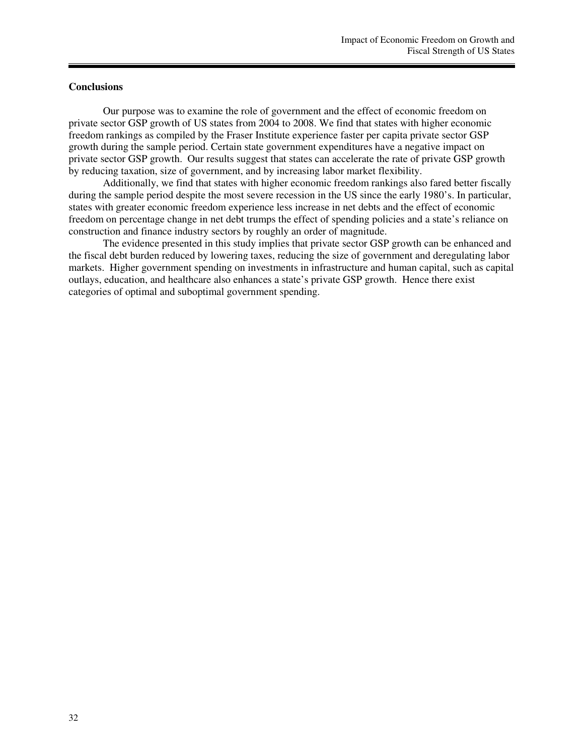# **Conclusions**

Our purpose was to examine the role of government and the effect of economic freedom on private sector GSP growth of US states from 2004 to 2008. We find that states with higher economic freedom rankings as compiled by the Fraser Institute experience faster per capita private sector GSP growth during the sample period. Certain state government expenditures have a negative impact on private sector GSP growth. Our results suggest that states can accelerate the rate of private GSP growth by reducing taxation, size of government, and by increasing labor market flexibility.

 Additionally, we find that states with higher economic freedom rankings also fared better fiscally during the sample period despite the most severe recession in the US since the early 1980's. In particular, states with greater economic freedom experience less increase in net debts and the effect of economic freedom on percentage change in net debt trumps the effect of spending policies and a state's reliance on construction and finance industry sectors by roughly an order of magnitude.

The evidence presented in this study implies that private sector GSP growth can be enhanced and the fiscal debt burden reduced by lowering taxes, reducing the size of government and deregulating labor markets. Higher government spending on investments in infrastructure and human capital, such as capital outlays, education, and healthcare also enhances a state's private GSP growth. Hence there exist categories of optimal and suboptimal government spending.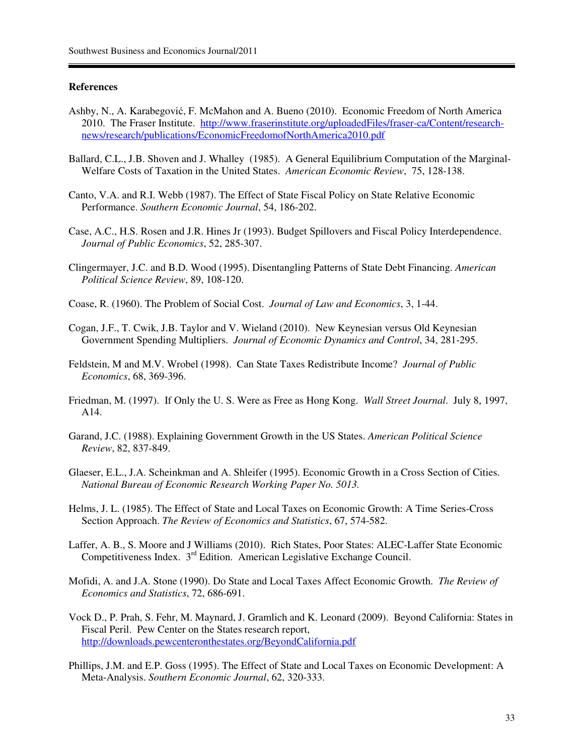#### **References**

- Ashby, N., A. Karabegović, F. McMahon and A. Bueno (2010). Economic Freedom of North America 2010. The Fraser Institute. http://www.fraserinstitute.org/uploadedFiles/fraser-ca/Content/researchnews/research/publications/EconomicFreedomofNorthAmerica2010.pdf
- Ballard, C.L., J.B. Shoven and J. Whalley (1985). A General Equilibrium Computation of the Marginal-Welfare Costs of Taxation in the United States. *American Economic Review*, 75, 128-138.
- Canto, V.A. and R.I. Webb (1987). The Effect of State Fiscal Policy on State Relative Economic Performance. *Southern Economic Journal*, 54, 186-202.
- Case, A.C., H.S. Rosen and J.R. Hines Jr (1993). Budget Spillovers and Fiscal Policy Interdependence. *Journal of Public Economics*, 52, 285-307.
- Clingermayer, J.C. and B.D. Wood (1995). Disentangling Patterns of State Debt Financing. *American Political Science Review*, 89, 108-120.
- Coase, R. (1960). The Problem of Social Cost. *Journal of Law and Economics*, 3, 1-44.
- Cogan, J.F., T. Cwik, J.B. Taylor and V. Wieland (2010). New Keynesian versus Old Keynesian Government Spending Multipliers. *Journal of Economic Dynamics and Control*, 34, 281-295.
- Feldstein, M and M.V. Wrobel (1998). Can State Taxes Redistribute Income? *Journal of Public Economics*, 68, 369-396.
- Friedman, M. (1997). If Only the U. S. Were as Free as Hong Kong. *Wall Street Journal*. July 8, 1997, A14.
- Garand, J.C. (1988). Explaining Government Growth in the US States. *American Political Science Review*, 82, 837-849.
- Glaeser, E.L., J.A. Scheinkman and A. Shleifer (1995). Economic Growth in a Cross Section of Cities. *National Bureau of Economic Research Working Paper No. 5013.*
- Helms, J. L. (1985). The Effect of State and Local Taxes on Economic Growth: A Time Series-Cross Section Approach. *The Review of Economics and Statistics*, 67, 574-582.
- Laffer, A. B., S. Moore and J Williams (2010). Rich States, Poor States: ALEC-Laffer State Economic Competitiveness Index. 3rd Edition. American Legislative Exchange Council.
- Mofidi, A. and J.A. Stone (1990). Do State and Local Taxes Affect Economic Growth. *The Review of Economics and Statistics*, 72, 686-691.
- Vock D., P. Prah, S. Fehr, M. Maynard, J. Gramlich and K. Leonard (2009). Beyond California: States in Fiscal Peril. Pew Center on the States research report, http://downloads.pewcenteronthestates.org/BeyondCalifornia.pdf
- Phillips, J.M. and E.P. Goss (1995). The Effect of State and Local Taxes on Economic Development: A Meta-Analysis. *Southern Economic Journal*, 62, 320-333.